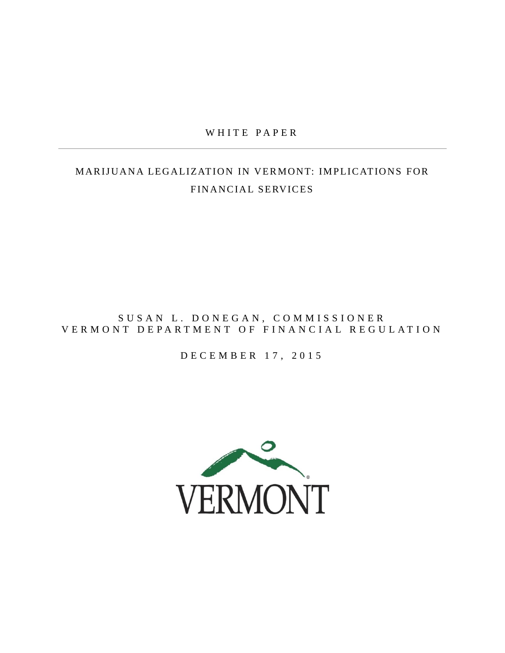## WHITE PAPER

# MARIJUANA LEGALIZATION IN VERMONT: IMPLICATIONS FOR FINANCIAL SERVICES

## SUSAN L. DONEGAN, COMMISSIONER VERMONT DEPARTMENT OF FINANCIAL REGULATION

### D E C E M B E R 17, 2015

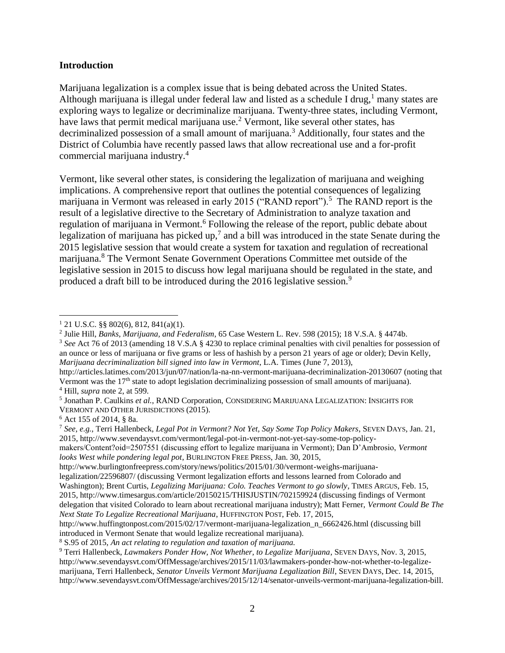#### **Introduction**

Marijuana legalization is a complex issue that is being debated across the United States. Although marijuana is illegal under federal law and listed as a schedule I drug,<sup>1</sup> many states are exploring ways to legalize or decriminalize marijuana. Twenty-three states, including Vermont, have laws that permit medical marijuana use.<sup>2</sup> Vermont, like several other states, has decriminalized possession of a small amount of marijuana.<sup>3</sup> Additionally, four states and the District of Columbia have recently passed laws that allow recreational use and a for-profit commercial marijuana industry.<sup>4</sup>

Vermont, like several other states, is considering the legalization of marijuana and weighing implications. A comprehensive report that outlines the potential consequences of legalizing marijuana in Vermont was released in early 2015 ("RAND report").<sup>5</sup> The RAND report is the result of a legislative directive to the Secretary of Administration to analyze taxation and regulation of marijuana in Vermont.<sup>6</sup> Following the release of the report, public debate about legalization of marijuana has picked up,<sup>7</sup> and a bill was introduced in the state Senate during the 2015 legislative session that would create a system for taxation and regulation of recreational marijuana.<sup>8</sup> The Vermont Senate Government Operations Committee met outside of the legislative session in 2015 to discuss how legal marijuana should be regulated in the state, and produced a draft bill to be introduced during the 2016 legislative session.<sup>9</sup>

*Marijuana decriminalization bill signed into law in Vermont*, L.A. Times (June 7, 2013),

<sup>8</sup> S.95 of 2015, *An act relating to regulation and taxation of marijuana.*

 $\overline{a}$  $1$  21 U.S.C. §§ 802(6), 812, 841(a)(1).

<sup>2</sup> Julie Hill, *Banks, Marijuana, and Federalism*, 65 Case Western L. Rev. 598 (2015); 18 V.S.A. § 4474b. <sup>3</sup> See Act 76 of 2013 (amending 18 V.S.A § 4230 to replace criminal penalties with civil penalties for possession of an ounce or less of marijuana or five grams or less of hashish by a person 21 years of age or older); Devin Kelly,

http://articles.latimes.com/2013/jun/07/nation/la-na-nn-vermont-marijuana-decriminalization-20130607 (noting that Vermont was the 17<sup>th</sup> state to adopt legislation decriminalizing possession of small amounts of marijuana). <sup>4</sup> Hill, *supra* note 2, at 599.

<sup>5</sup> Jonathan P. Caulkins *et al.*, RAND Corporation, CONSIDERING MARIJUANA LEGALIZATION: INSIGHTS FOR VERMONT AND OTHER JURISDICTIONS (2015).

<sup>6</sup> Act 155 of 2014, § 8a.

<sup>7</sup> *See*, *e.g.*, Terri Hallenbeck, *Legal Pot in Vermont? Not Yet, Say Some Top Policy Makers*, SEVEN DAYS, Jan. 21, 2015, http://www.sevendaysvt.com/vermont/legal-pot-in-vermont-not-yet-say-some-top-policy-

makers/Content?oid=2507551 (discussing effort to legalize marijuana in Vermont); Dan D'Ambrosio, *Vermont looks West while pondering legal pot*, BURLINGTON FREE PRESS, Jan. 30, 2015,

http://www.burlingtonfreepress.com/story/news/politics/2015/01/30/vermont-weighs-marijuana-

legalization/22596807/ (discussing Vermont legalization efforts and lessons learned from Colorado and Washington); Brent Curtis, *Legalizing Marijuana: Colo. Teaches Vermont to go slowly*, TIMES ARGUS, Feb. 15, 2015, http://www.timesargus.com/article/20150215/THISJUSTIN/702159924 (discussing findings of Vermont delegation that visited Colorado to learn about recreational marijuana industry); Matt Ferner, *Vermont Could Be The Next State To Legalize Recreational Marijuana*, HUFFINGTON POST, Feb. 17, 2015,

http://www.huffingtonpost.com/2015/02/17/vermont-marijuana-legalization\_n\_6662426.html (discussing bill introduced in Vermont Senate that would legalize recreational marijuana).

<sup>9</sup> Terri Hallenbeck, *Lawmakers Ponder How, Not Whether, to Legalize Marijuana*, SEVEN DAYS, Nov. 3, 2015, http://www.sevendaysvt.com/OffMessage/archives/2015/11/03/lawmakers-ponder-how-not-whether-to-legalizemarijuana, Terri Hallenbeck, *Senator Unveils Vermont Marijuana Legalization Bill*, SEVEN DAYS, Dec. 14, 2015, http://www.sevendaysvt.com/OffMessage/archives/2015/12/14/senator-unveils-vermont-marijuana-legalization-bill.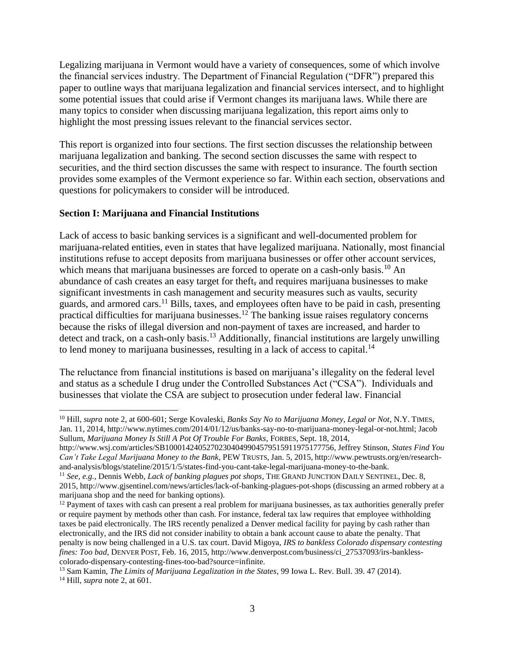Legalizing marijuana in Vermont would have a variety of consequences, some of which involve the financial services industry. The Department of Financial Regulation ("DFR") prepared this paper to outline ways that marijuana legalization and financial services intersect, and to highlight some potential issues that could arise if Vermont changes its marijuana laws. While there are many topics to consider when discussing marijuana legalization, this report aims only to highlight the most pressing issues relevant to the financial services sector.

This report is organized into four sections. The first section discusses the relationship between marijuana legalization and banking. The second section discusses the same with respect to securities, and the third section discusses the same with respect to insurance. The fourth section provides some examples of the Vermont experience so far. Within each section, observations and questions for policymakers to consider will be introduced.

## **Section I: Marijuana and Financial Institutions**

 $\overline{a}$ 

Lack of access to basic banking services is a significant and well-documented problem for marijuana-related entities, even in states that have legalized marijuana. Nationally, most financial institutions refuse to accept deposits from marijuana businesses or offer other account services, which means that marijuana businesses are forced to operate on a cash-only basis.<sup>10</sup> An abundance of cash creates an easy target for theft, and requires marijuana businesses to make significant investments in cash management and security measures such as vaults, security guards, and armored cars.<sup>11</sup> Bills, taxes, and employees often have to be paid in cash, presenting practical difficulties for marijuana businesses.<sup>12</sup> The banking issue raises regulatory concerns because the risks of illegal diversion and non-payment of taxes are increased, and harder to detect and track, on a cash-only basis.<sup>13</sup> Additionally, financial institutions are largely unwilling to lend money to marijuana businesses, resulting in a lack of access to capital.<sup>14</sup>

The reluctance from financial institutions is based on marijuana's illegality on the federal level and status as a schedule I drug under the Controlled Substances Act ("CSA"). Individuals and businesses that violate the CSA are subject to prosecution under federal law. Financial

<sup>10</sup> Hill, *supra* note 2, at 600-601; Serge Kovaleski, *Banks Say No to Marijuana Money, Legal or Not*, N.Y. TIMES, Jan. 11, 2014, http://www.nytimes.com/2014/01/12/us/banks-say-no-to-marijuana-money-legal-or-not.html; Jacob Sullum, *Marijuana Money Is Still A Pot Of Trouble For Banks*, FORBES, Sept. 18, 2014,

http://www.wsj.com/articles/SB10001424052702304049904579515911975177756, Jeffrey Stinson, *States Find You Can't Take Legal Marijuana Money to the Bank*, PEW TRUSTS, Jan. 5, 2015, http://www.pewtrusts.org/en/researchand-analysis/blogs/stateline/2015/1/5/states-find-you-cant-take-legal-marijuana-money-to-the-bank.

<sup>11</sup> *See, e.g.,* Dennis Webb, *Lack of banking plagues pot shops*, THE GRAND JUNCTION DAILY SENTINEL, Dec. 8, 2015, http://www.gjsentinel.com/news/articles/lack-of-banking-plagues-pot-shops (discussing an armed robbery at a marijuana shop and the need for banking options).

 $12$  Payment of taxes with cash can present a real problem for marijuana businesses, as tax authorities generally prefer or require payment by methods other than cash. For instance, federal tax law requires that employee withholding taxes be paid electronically. The IRS recently penalized a Denver medical facility for paying by cash rather than electronically, and the IRS did not consider inability to obtain a bank account cause to abate the penalty. That penalty is now being challenged in a U.S. tax court. David Migoya, *IRS to bankless Colorado dispensary contesting fines: Too bad*, DENVER POST, Feb. 16, 2015, http://www.denverpost.com/business/ci\_27537093/irs-banklesscolorado-dispensary-contesting-fines-too-bad?source=infinite.

<sup>13</sup> Sam Kamin, *The Limits of Marijuana Legalization in the States*, 99 Iowa L. Rev. Bull. 39. 47 (2014). <sup>14</sup> Hill, *supra* note 2, at 601.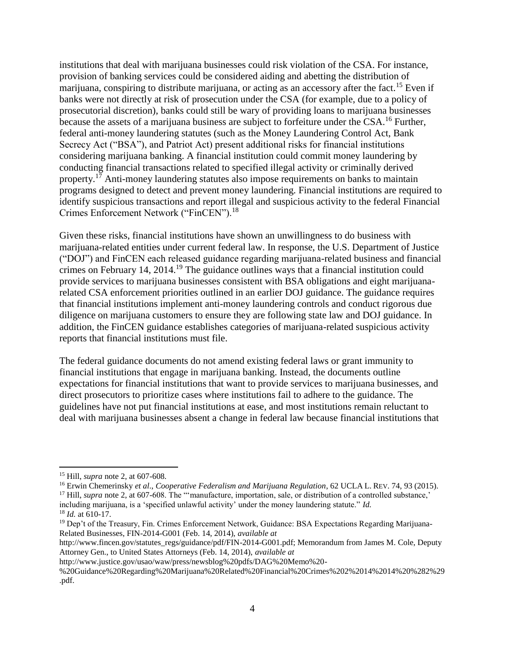institutions that deal with marijuana businesses could risk violation of the CSA. For instance, provision of banking services could be considered aiding and abetting the distribution of marijuana, conspiring to distribute marijuana, or acting as an accessory after the fact.<sup>15</sup> Even if banks were not directly at risk of prosecution under the CSA (for example, due to a policy of prosecutorial discretion), banks could still be wary of providing loans to marijuana businesses because the assets of a marijuana business are subject to forfeiture under the CSA.<sup>16</sup> Further, federal anti-money laundering statutes (such as the Money Laundering Control Act, Bank Secrecy Act ("BSA"), and Patriot Act) present additional risks for financial institutions considering marijuana banking. A financial institution could commit money laundering by conducting financial transactions related to specified illegal activity or criminally derived property.<sup>17</sup> Anti-money laundering statutes also impose requirements on banks to maintain programs designed to detect and prevent money laundering. Financial institutions are required to identify suspicious transactions and report illegal and suspicious activity to the federal Financial Crimes Enforcement Network ("FinCEN").<sup>18</sup>

Given these risks, financial institutions have shown an unwillingness to do business with marijuana-related entities under current federal law. In response, the U.S. Department of Justice ("DOJ") and FinCEN each released guidance regarding marijuana-related business and financial crimes on February 14, 2014.<sup>19</sup> The guidance outlines ways that a financial institution could provide services to marijuana businesses consistent with BSA obligations and eight marijuanarelated CSA enforcement priorities outlined in an earlier DOJ guidance. The guidance requires that financial institutions implement anti-money laundering controls and conduct rigorous due diligence on marijuana customers to ensure they are following state law and DOJ guidance. In addition, the FinCEN guidance establishes categories of marijuana-related suspicious activity reports that financial institutions must file.

The federal guidance documents do not amend existing federal laws or grant immunity to financial institutions that engage in marijuana banking. Instead, the documents outline expectations for financial institutions that want to provide services to marijuana businesses, and direct prosecutors to prioritize cases where institutions fail to adhere to the guidance. The guidelines have not put financial institutions at ease, and most institutions remain reluctant to deal with marijuana businesses absent a change in federal law because financial institutions that

 $\overline{a}$ <sup>15</sup> Hill, *supra* note 2, at 607-608.

<sup>16</sup> Erwin Chemerinsky *et al*., *Cooperative Federalism and Marijuana Regulation*, 62 UCLA L. REV. 74, 93 (2015).

<sup>&</sup>lt;sup>17</sup> Hill, *supra* note 2, at 607-608. The "'manufacture, importation, sale, or distribution of a controlled substance,'

including marijuana, is a 'specified unlawful activity' under the money laundering statute." *Id.* <sup>18</sup> *Id.* at 610-17.

<sup>&</sup>lt;sup>19</sup> Dep't of the Treasury, Fin. Crimes Enforcement Network, Guidance: BSA Expectations Regarding Marijuana-Related Businesses, FIN-2014-G001 (Feb. 14, 2014), *available at*

http://www.fincen.gov/statutes\_regs/guidance/pdf/FIN-2014-G001.pdf; Memorandum from James M. Cole, Deputy Attorney Gen., to United States Attorneys (Feb. 14, 2014), *available at*

http://www.justice.gov/usao/waw/press/newsblog%20pdfs/DAG%20Memo%20-

<sup>%20</sup>Guidance%20Regarding%20Marijuana%20Related%20Financial%20Crimes%202%2014%2014%20%282%29 .pdf.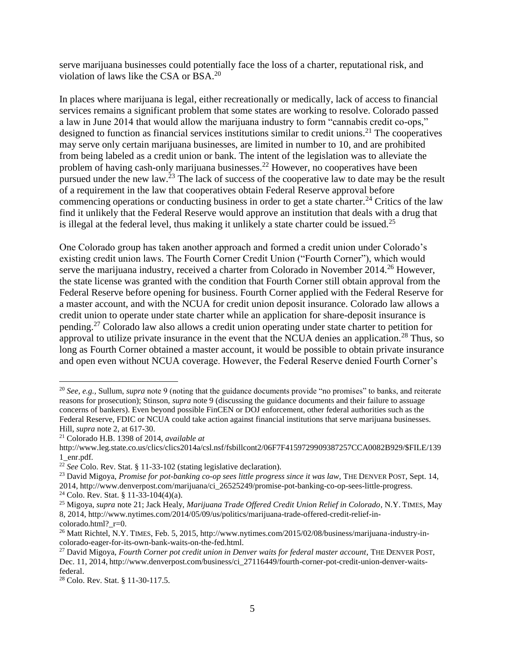serve marijuana businesses could potentially face the loss of a charter, reputational risk, and violation of laws like the CSA or BSA.<sup>20</sup>

In places where marijuana is legal, either recreationally or medically, lack of access to financial services remains a significant problem that some states are working to resolve. Colorado passed a law in June 2014 that would allow the marijuana industry to form "cannabis credit co-ops," designed to function as financial services institutions similar to credit unions.<sup>21</sup> The cooperatives may serve only certain marijuana businesses, are limited in number to 10, and are prohibited from being labeled as a credit union or bank. The intent of the legislation was to alleviate the problem of having cash-only marijuana businesses.<sup>22</sup> However, no cooperatives have been pursued under the new law.<sup>23</sup> The lack of success of the cooperative law to date may be the result of a requirement in the law that cooperatives obtain Federal Reserve approval before commencing operations or conducting business in order to get a state charter.<sup>24</sup> Critics of the law find it unlikely that the Federal Reserve would approve an institution that deals with a drug that is illegal at the federal level, thus making it unlikely a state charter could be issued.<sup>25</sup>

One Colorado group has taken another approach and formed a credit union under Colorado's existing credit union laws. The Fourth Corner Credit Union ("Fourth Corner"), which would serve the marijuana industry, received a charter from Colorado in November 2014.<sup>26</sup> However, the state license was granted with the condition that Fourth Corner still obtain approval from the Federal Reserve before opening for business. Fourth Corner applied with the Federal Reserve for a master account, and with the NCUA for credit union deposit insurance. Colorado law allows a credit union to operate under state charter while an application for share-deposit insurance is pending.<sup>27</sup> Colorado law also allows a credit union operating under state charter to petition for approval to utilize private insurance in the event that the NCUA denies an application.<sup>28</sup> Thus, so long as Fourth Corner obtained a master account, it would be possible to obtain private insurance and open even without NCUA coverage. However, the Federal Reserve denied Fourth Corner's

 $\overline{a}$ 

<sup>24</sup> Colo. Rev. Stat. § 11-33-104(4)(a).

<sup>20</sup> *See, e.g.,* Sullum, *supra* note 9 (noting that the guidance documents provide "no promises" to banks, and reiterate reasons for prosecution); Stinson, *supra* note 9 (discussing the guidance documents and their failure to assuage concerns of bankers). Even beyond possible FinCEN or DOJ enforcement, other federal authorities such as the Federal Reserve, FDIC or NCUA could take action against financial institutions that serve marijuana businesses. Hill, *supra* note 2, at 617-30.

<sup>21</sup> Colorado H.B. 1398 of 2014, *available at*

http://www.leg.state.co.us/clics/clics2014a/csl.nsf/fsbillcont2/06F7F4159729909387257CCA0082B929/\$FILE/139 1\_enr.pdf.

<sup>22</sup> *See* Colo. Rev. Stat. § 11-33-102 (stating legislative declaration).

<sup>23</sup> David Migoya, *Promise for pot-banking co-op sees little progress since it was law*, THE DENVER POST, Sept. 14, 2014, http://www.denverpost.com/marijuana/ci\_26525249/promise-pot-banking-co-op-sees-little-progress.

<sup>25</sup> Migoya, *supra* note 21; Jack Healy, *Marijuana Trade Offered Credit Union Relief in Colorado*, N.Y. TIMES, May 8, 2014, http://www.nytimes.com/2014/05/09/us/politics/marijuana-trade-offered-credit-relief-incolorado.html? r=0.

<sup>26</sup> Matt Richtel, N.Y. TIMES, Feb. 5, 2015, http://www.nytimes.com/2015/02/08/business/marijuana-industry-incolorado-eager-for-its-own-bank-waits-on-the-fed.html.

<sup>27</sup> David Migoya, *Fourth Corner pot credit union in Denver waits for federal master account*, THE DENVER POST, Dec. 11, 2014, http://www.denverpost.com/business/ci\_27116449/fourth-corner-pot-credit-union-denver-waitsfederal.

<sup>28</sup> Colo. Rev. Stat. § 11-30-117.5.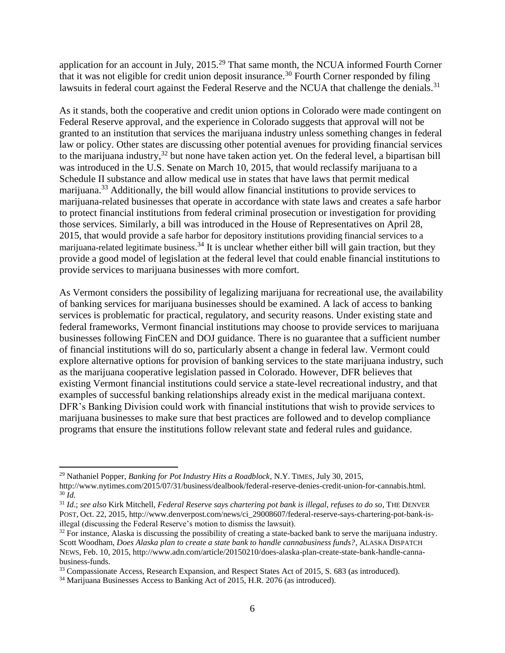application for an account in July, 2015.<sup>29</sup> That same month, the NCUA informed Fourth Corner that it was not eligible for credit union deposit insurance.<sup>30</sup> Fourth Corner responded by filing lawsuits in federal court against the Federal Reserve and the NCUA that challenge the denials.<sup>31</sup>

As it stands, both the cooperative and credit union options in Colorado were made contingent on Federal Reserve approval, and the experience in Colorado suggests that approval will not be granted to an institution that services the marijuana industry unless something changes in federal law or policy. Other states are discussing other potential avenues for providing financial services to the marijuana industry,  $32$  but none have taken action yet. On the federal level, a bipartisan bill was introduced in the U.S. Senate on March 10, 2015, that would reclassify marijuana to a Schedule II substance and allow medical use in states that have laws that permit medical marijuana.<sup>33</sup> Additionally, the bill would allow financial institutions to provide services to marijuana-related businesses that operate in accordance with state laws and creates a safe harbor to protect financial institutions from federal criminal prosecution or investigation for providing those services. Similarly, a bill was introduced in the House of Representatives on April 28, 2015, that would provide a safe harbor for depository institutions providing financial services to a marijuana-related legitimate business.<sup>34</sup> It is unclear whether either bill will gain traction, but they provide a good model of legislation at the federal level that could enable financial institutions to provide services to marijuana businesses with more comfort.

As Vermont considers the possibility of legalizing marijuana for recreational use, the availability of banking services for marijuana businesses should be examined. A lack of access to banking services is problematic for practical, regulatory, and security reasons. Under existing state and federal frameworks, Vermont financial institutions may choose to provide services to marijuana businesses following FinCEN and DOJ guidance. There is no guarantee that a sufficient number of financial institutions will do so, particularly absent a change in federal law. Vermont could explore alternative options for provision of banking services to the state marijuana industry, such as the marijuana cooperative legislation passed in Colorado. However, DFR believes that existing Vermont financial institutions could service a state-level recreational industry, and that examples of successful banking relationships already exist in the medical marijuana context. DFR's Banking Division could work with financial institutions that wish to provide services to marijuana businesses to make sure that best practices are followed and to develop compliance programs that ensure the institutions follow relevant state and federal rules and guidance.

 $\overline{a}$ 

<sup>29</sup> Nathaniel Popper, *Banking for Pot Industry Hits a Roadblock*, N.Y. TIMES, July 30, 2015, http://www.nytimes.com/2015/07/31/business/dealbook/federal-reserve-denies-credit-union-for-cannabis.html.

 $30 \bar{Id}$ .

<sup>31</sup> *Id*.; *see also* Kirk Mitchell, *Federal Reserve says chartering pot bank is illegal, refuses to do so*, THE DENVER POST, Oct. 22, 2015, http://www.denverpost.com/news/ci\_29008607/federal-reserve-says-chartering-pot-bank-isillegal (discussing the Federal Reserve's motion to dismiss the lawsuit).

 $32$  For instance, Alaska is discussing the possibility of creating a state-backed bank to serve the marijuana industry. Scott Woodham, *Does Alaska plan to create a state bank to handle cannabusiness funds?*, ALASKA DISPATCH NEWS, Feb. 10, 2015, http://www.adn.com/article/20150210/does-alaska-plan-create-state-bank-handle-cannabusiness-funds.

<sup>&</sup>lt;sup>33</sup> Compassionate Access, Research Expansion, and Respect States Act of 2015, S. 683 (as introduced).

<sup>&</sup>lt;sup>34</sup> Marijuana Businesses Access to Banking Act of 2015, H.R. 2076 (as introduced).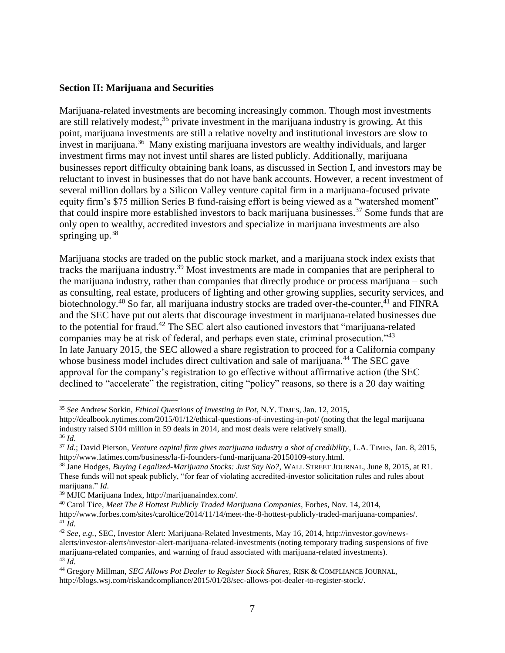#### **Section II: Marijuana and Securities**

Marijuana-related investments are becoming increasingly common. Though most investments are still relatively modest,<sup>35</sup> private investment in the marijuana industry is growing. At this point, marijuana investments are still a relative novelty and institutional investors are slow to invest in marijuana.<sup>36</sup> Many existing marijuana investors are wealthy individuals, and larger investment firms may not invest until shares are listed publicly. Additionally, marijuana businesses report difficulty obtaining bank loans, as discussed in Section I, and investors may be reluctant to invest in businesses that do not have bank accounts. However, a recent investment of several million dollars by a Silicon Valley venture capital firm in a marijuana-focused private equity firm's \$75 million Series B fund-raising effort is being viewed as a "watershed moment" that could inspire more established investors to back marijuana businesses.<sup>37</sup> Some funds that are only open to wealthy, accredited investors and specialize in marijuana investments are also springing up.<sup>38</sup>

Marijuana stocks are traded on the public stock market, and a marijuana stock index exists that tracks the marijuana industry.<sup>39</sup> Most investments are made in companies that are peripheral to the marijuana industry, rather than companies that directly produce or process marijuana – such as consulting, real estate, producers of lighting and other growing supplies, security services, and biotechnology.<sup>40</sup> So far, all marijuana industry stocks are traded over-the-counter,<sup>41</sup> and FINRA and the SEC have put out alerts that discourage investment in marijuana-related businesses due to the potential for fraud.<sup>42</sup> The SEC alert also cautioned investors that "marijuana-related companies may be at risk of federal, and perhaps even state, criminal prosecution."<sup>43</sup> In late January 2015, the SEC allowed a share registration to proceed for a California company whose business model includes direct cultivation and sale of marijuana.<sup>44</sup> The SEC gave approval for the company's registration to go effective without affirmative action (the SEC declined to "accelerate" the registration, citing "policy" reasons, so there is a 20 day waiting

<sup>40</sup> Carol Tice, *Meet The 8 Hottest Publicly Traded Marijuana Companies*, Forbes, Nov. 14, 2014,

 $\overline{a}$ <sup>35</sup> *See* Andrew Sorkin, *Ethical Questions of Investing in Pot*, N.Y. TIMES, Jan. 12, 2015,

http://dealbook.nytimes.com/2015/01/12/ethical-questions-of-investing-in-pot/ (noting that the legal marijuana industry raised \$104 million in 59 deals in 2014, and most deals were relatively small). <sup>36</sup> *Id*.

<sup>37</sup> *Id.*; David Pierson, *Venture capital firm gives marijuana industry a shot of credibility*, L.A. TIMES, Jan. 8, 2015, http://www.latimes.com/business/la-fi-founders-fund-marijuana-20150109-story.html.

<sup>38</sup> Jane Hodges, *Buying Legalized-Marijuana Stocks: Just Say No?*, WALL STREET JOURNAL, June 8, 2015, at R1. These funds will not speak publicly, "for fear of violating accredited-investor solicitation rules and rules about marijuana." *Id*.

<sup>39</sup> MJIC Marijuana Index, http://marijuanaindex.com/.

http://www.forbes.com/sites/caroltice/2014/11/14/meet-the-8-hottest-publicly-traded-marijuana-companies/.  $^{41}$ *Id*.

<sup>42</sup> *See, e.g.,* SEC, Investor Alert: Marijuana-Related Investments, May 16, 2014, http://investor.gov/newsalerts/investor-alerts/investor-alert-marijuana-related-investments (noting temporary trading suspensions of five marijuana-related companies, and warning of fraud associated with marijuana-related investments).  $43$  *Id.* 

<sup>44</sup> Gregory Millman, *SEC Allows Pot Dealer to Register Stock Shares*, RISK & COMPLIANCE JOURNAL, http://blogs.wsj.com/riskandcompliance/2015/01/28/sec-allows-pot-dealer-to-register-stock/.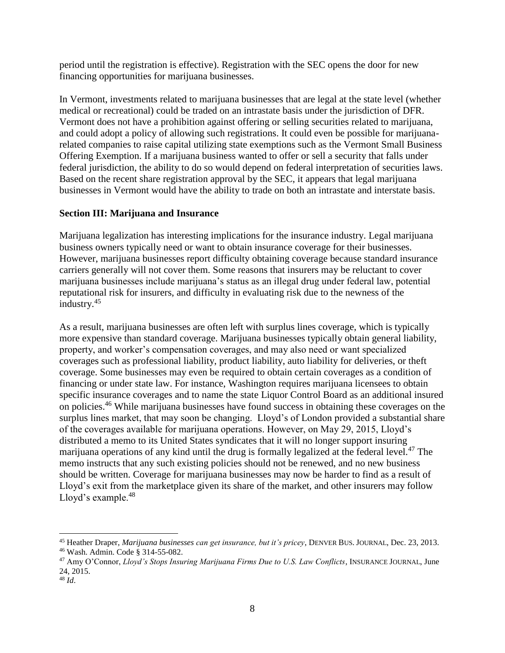period until the registration is effective). Registration with the SEC opens the door for new financing opportunities for marijuana businesses.

In Vermont, investments related to marijuana businesses that are legal at the state level (whether medical or recreational) could be traded on an intrastate basis under the jurisdiction of DFR. Vermont does not have a prohibition against offering or selling securities related to marijuana, and could adopt a policy of allowing such registrations. It could even be possible for marijuanarelated companies to raise capital utilizing state exemptions such as the Vermont Small Business Offering Exemption. If a marijuana business wanted to offer or sell a security that falls under federal jurisdiction, the ability to do so would depend on federal interpretation of securities laws. Based on the recent share registration approval by the SEC, it appears that legal marijuana businesses in Vermont would have the ability to trade on both an intrastate and interstate basis.

## **Section III: Marijuana and Insurance**

Marijuana legalization has interesting implications for the insurance industry. Legal marijuana business owners typically need or want to obtain insurance coverage for their businesses. However, marijuana businesses report difficulty obtaining coverage because standard insurance carriers generally will not cover them. Some reasons that insurers may be reluctant to cover marijuana businesses include marijuana's status as an illegal drug under federal law, potential reputational risk for insurers, and difficulty in evaluating risk due to the newness of the industry.<sup>45</sup>

As a result, marijuana businesses are often left with surplus lines coverage, which is typically more expensive than standard coverage. Marijuana businesses typically obtain general liability, property, and worker's compensation coverages, and may also need or want specialized coverages such as professional liability, product liability, auto liability for deliveries, or theft coverage. Some businesses may even be required to obtain certain coverages as a condition of financing or under state law. For instance, Washington requires marijuana licensees to obtain specific insurance coverages and to name the state Liquor Control Board as an additional insured on policies.<sup>46</sup> While marijuana businesses have found success in obtaining these coverages on the surplus lines market, that may soon be changing. Lloyd's of London provided a substantial share of the coverages available for marijuana operations. However, on May 29, 2015, Lloyd's distributed a memo to its United States syndicates that it will no longer support insuring marijuana operations of any kind until the drug is formally legalized at the federal level.<sup>47</sup> The memo instructs that any such existing policies should not be renewed, and no new business should be written. Coverage for marijuana businesses may now be harder to find as a result of Lloyd's exit from the marketplace given its share of the market, and other insurers may follow Lloyd's example.<sup>48</sup>

 $\overline{a}$ <sup>45</sup> Heather Draper, *Marijuana businesses can get insurance, but it's pricey*, DENVER BUS. JOURNAL, Dec. 23, 2013. <sup>46</sup> Wash. Admin. Code § 314-55-082.

<sup>47</sup> Amy O'Connor, *Lloyd's Stops Insuring Marijuana Firms Due to U.S. Law Conflicts*, INSURANCE JOURNAL, June 24, 2015.

<sup>48</sup> *Id*.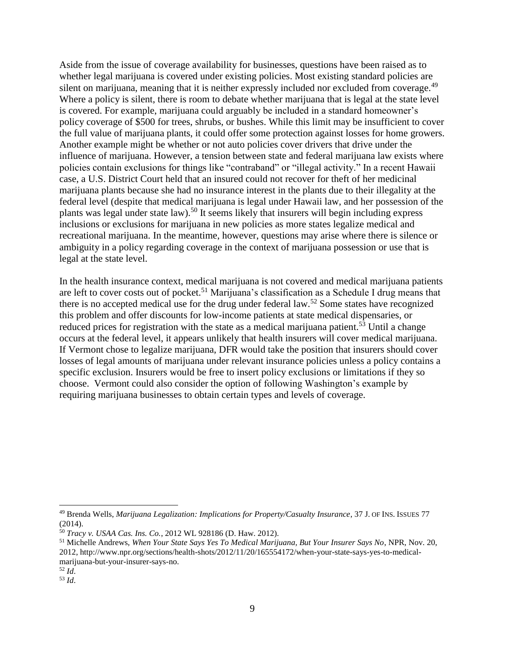Aside from the issue of coverage availability for businesses, questions have been raised as to whether legal marijuana is covered under existing policies. Most existing standard policies are silent on marijuana, meaning that it is neither expressly included nor excluded from coverage.<sup>49</sup> Where a policy is silent, there is room to debate whether marijuana that is legal at the state level is covered. For example, marijuana could arguably be included in a standard homeowner's policy coverage of \$500 for trees, shrubs, or bushes. While this limit may be insufficient to cover the full value of marijuana plants, it could offer some protection against losses for home growers. Another example might be whether or not auto policies cover drivers that drive under the influence of marijuana. However, a tension between state and federal marijuana law exists where policies contain exclusions for things like "contraband" or "illegal activity." In a recent Hawaii case, a U.S. District Court held that an insured could not recover for theft of her medicinal marijuana plants because she had no insurance interest in the plants due to their illegality at the federal level (despite that medical marijuana is legal under Hawaii law, and her possession of the plants was legal under state law).<sup>50</sup> It seems likely that insurers will begin including express inclusions or exclusions for marijuana in new policies as more states legalize medical and recreational marijuana. In the meantime, however, questions may arise where there is silence or ambiguity in a policy regarding coverage in the context of marijuana possession or use that is legal at the state level.

In the health insurance context, medical marijuana is not covered and medical marijuana patients are left to cover costs out of pocket.<sup>51</sup> Marijuana's classification as a Schedule I drug means that there is no accepted medical use for the drug under federal law.<sup>52</sup> Some states have recognized this problem and offer discounts for low-income patients at state medical dispensaries, or reduced prices for registration with the state as a medical marijuana patient.<sup>53</sup> Until a change occurs at the federal level, it appears unlikely that health insurers will cover medical marijuana. If Vermont chose to legalize marijuana, DFR would take the position that insurers should cover losses of legal amounts of marijuana under relevant insurance policies unless a policy contains a specific exclusion. Insurers would be free to insert policy exclusions or limitations if they so choose. Vermont could also consider the option of following Washington's example by requiring marijuana businesses to obtain certain types and levels of coverage.

 $\overline{a}$ 

<sup>49</sup> Brenda Wells, *Marijuana Legalization: Implications for Property/Casualty Insurance*, 37 J. OF INS. ISSUES 77 (2014).

<sup>50</sup> *Tracy v. USAA Cas. Ins. Co.*, 2012 WL 928186 (D. Haw. 2012).

<sup>51</sup> Michelle Andrews, *When Your State Says Yes To Medical Marijuana, But Your Insurer Says No*, NPR, Nov. 20, 2012, http://www.npr.org/sections/health-shots/2012/11/20/165554172/when-your-state-says-yes-to-medicalmarijuana-but-your-insurer-says-no.

<sup>52</sup> *Id*.

<sup>53</sup> *Id*.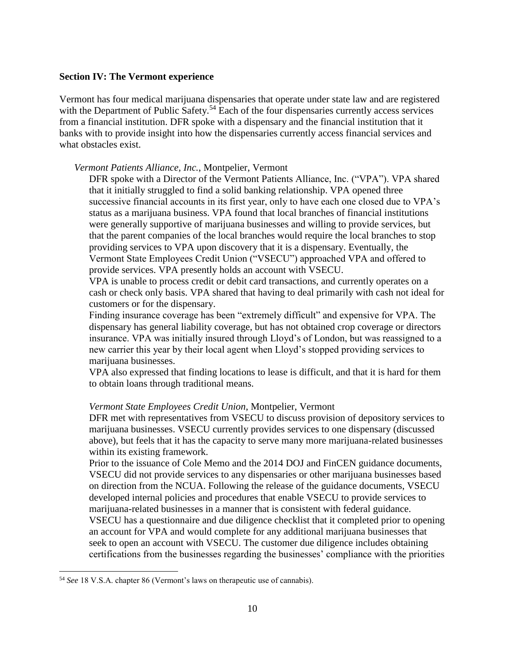#### **Section IV: The Vermont experience**

Vermont has four medical marijuana dispensaries that operate under state law and are registered with the Department of Public Safety.<sup>54</sup> Each of the four dispensaries currently access services from a financial institution. DFR spoke with a dispensary and the financial institution that it banks with to provide insight into how the dispensaries currently access financial services and what obstacles exist.

*Vermont Patients Alliance, Inc.*, Montpelier, Vermont

DFR spoke with a Director of the Vermont Patients Alliance, Inc. ("VPA"). VPA shared that it initially struggled to find a solid banking relationship. VPA opened three successive financial accounts in its first year, only to have each one closed due to VPA's status as a marijuana business. VPA found that local branches of financial institutions were generally supportive of marijuana businesses and willing to provide services, but that the parent companies of the local branches would require the local branches to stop providing services to VPA upon discovery that it is a dispensary. Eventually, the Vermont State Employees Credit Union ("VSECU") approached VPA and offered to provide services. VPA presently holds an account with VSECU.

VPA is unable to process credit or debit card transactions, and currently operates on a cash or check only basis. VPA shared that having to deal primarily with cash not ideal for customers or for the dispensary.

Finding insurance coverage has been "extremely difficult" and expensive for VPA. The dispensary has general liability coverage, but has not obtained crop coverage or directors insurance. VPA was initially insured through Lloyd's of London, but was reassigned to a new carrier this year by their local agent when Lloyd's stopped providing services to marijuana businesses.

VPA also expressed that finding locations to lease is difficult, and that it is hard for them to obtain loans through traditional means.

### *Vermont State Employees Credit Union*, Montpelier, Vermont

DFR met with representatives from VSECU to discuss provision of depository services to marijuana businesses. VSECU currently provides services to one dispensary (discussed above), but feels that it has the capacity to serve many more marijuana-related businesses within its existing framework.

Prior to the issuance of Cole Memo and the 2014 DOJ and FinCEN guidance documents, VSECU did not provide services to any dispensaries or other marijuana businesses based on direction from the NCUA. Following the release of the guidance documents, VSECU developed internal policies and procedures that enable VSECU to provide services to marijuana-related businesses in a manner that is consistent with federal guidance. VSECU has a questionnaire and due diligence checklist that it completed prior to opening an account for VPA and would complete for any additional marijuana businesses that seek to open an account with VSECU. The customer due diligence includes obtaining certifications from the businesses regarding the businesses' compliance with the priorities

 $\overline{a}$ <sup>54</sup> *See* 18 V.S.A. chapter 86 (Vermont's laws on therapeutic use of cannabis).